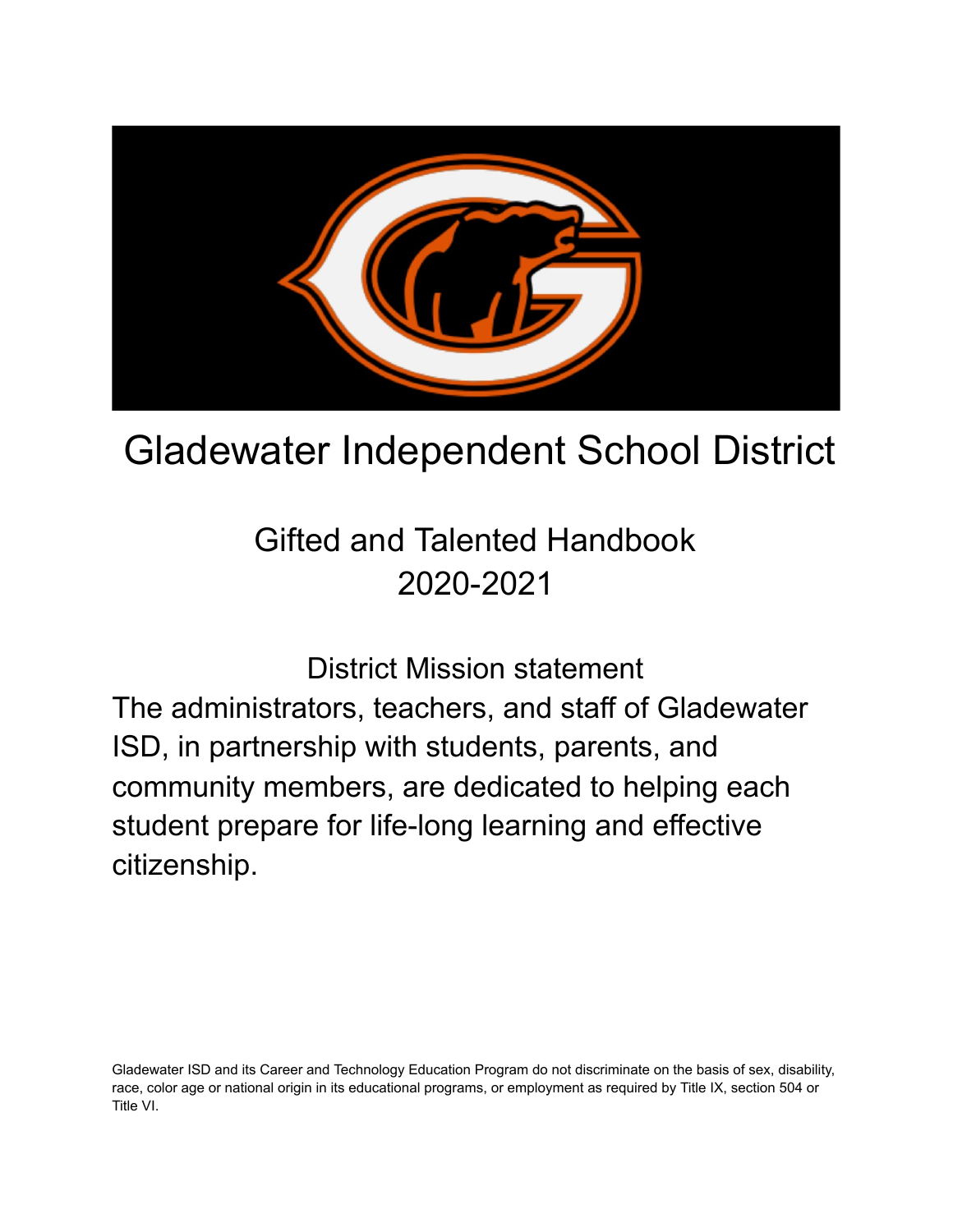

# Gladewater Independent School District

Gifted and Talented Handbook 2020-2021

District Mission statement The administrators, teachers, and staff of Gladewater ISD, in partnership with students, parents, and community members, are dedicated to helping each student prepare for life-long learning and effective citizenship.

Gladewater ISD and its Career and Technology Education Program do not discriminate on the basis of sex, disability, race, color age or national origin in its educational programs, or employment as required by Title IX, section 504 or Title VI.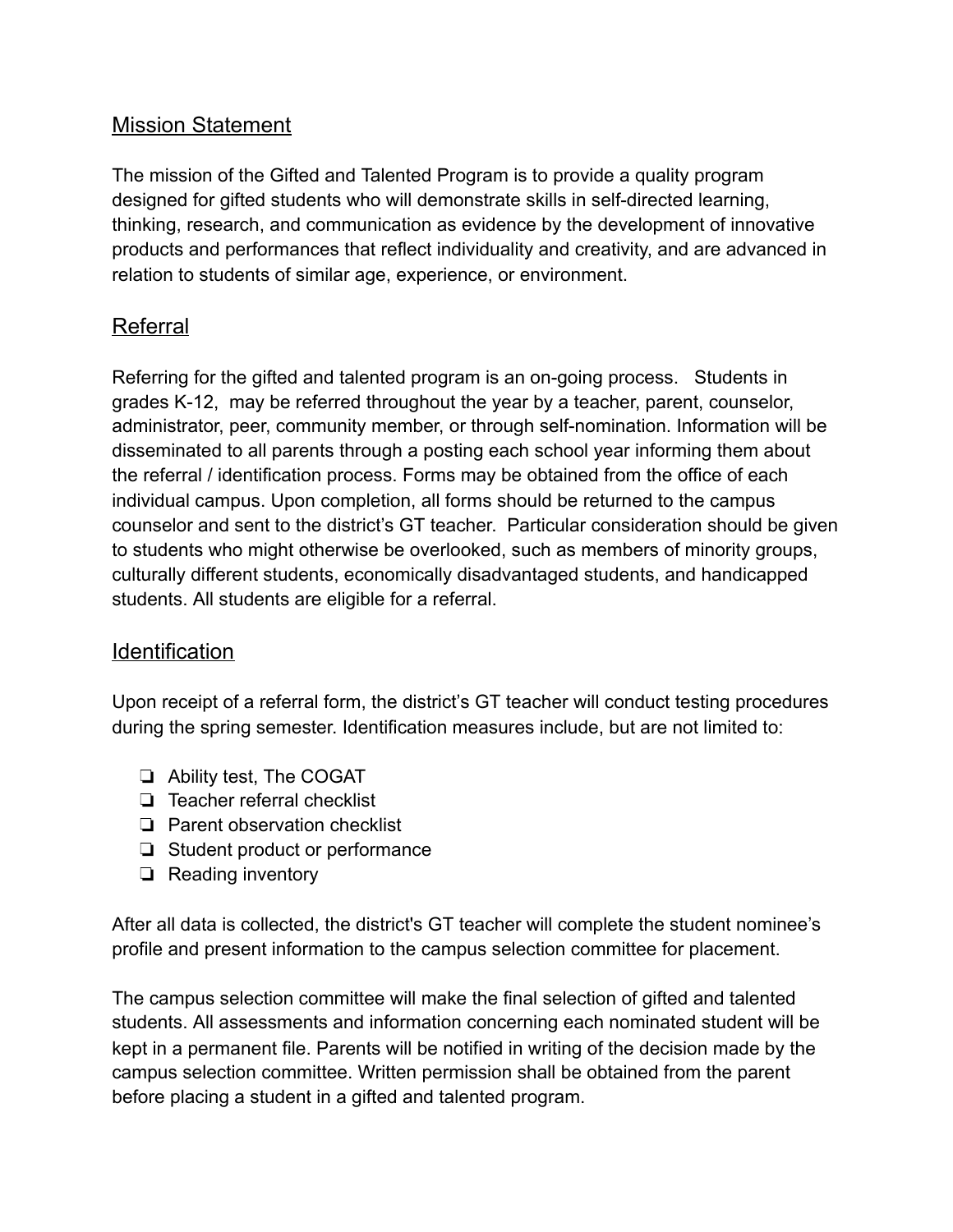## Mission Statement

The mission of the Gifted and Talented Program is to provide a quality program designed for gifted students who will demonstrate skills in self-directed learning, thinking, research, and communication as evidence by the development of innovative products and performances that reflect individuality and creativity, and are advanced in relation to students of similar age, experience, or environment.

## Referral

Referring for the gifted and talented program is an on-going process. Students in grades K-12, may be referred throughout the year by a teacher, parent, counselor, administrator, peer, community member, or through self-nomination. Information will be disseminated to all parents through a posting each school year informing them about the referral / identification process. Forms may be obtained from the office of each individual campus. Upon completion, all forms should be returned to the campus counselor and sent to the district's GT teacher. Particular consideration should be given to students who might otherwise be overlooked, such as members of minority groups, culturally different students, economically disadvantaged students, and handicapped students. All students are eligible for a referral.

## Identification

Upon receipt of a referral form, the district's GT teacher will conduct testing procedures during the spring semester. Identification measures include, but are not limited to:

- ❏ Ability test, The COGAT
- ❏ Teacher referral checklist
- ❏ Parent observation checklist
- ❏ Student product or performance
- ❏ Reading inventory

After all data is collected, the district's GT teacher will complete the student nominee's profile and present information to the campus selection committee for placement.

The campus selection committee will make the final selection of gifted and talented students. All assessments and information concerning each nominated student will be kept in a permanent file. Parents will be notified in writing of the decision made by the campus selection committee. Written permission shall be obtained from the parent before placing a student in a gifted and talented program.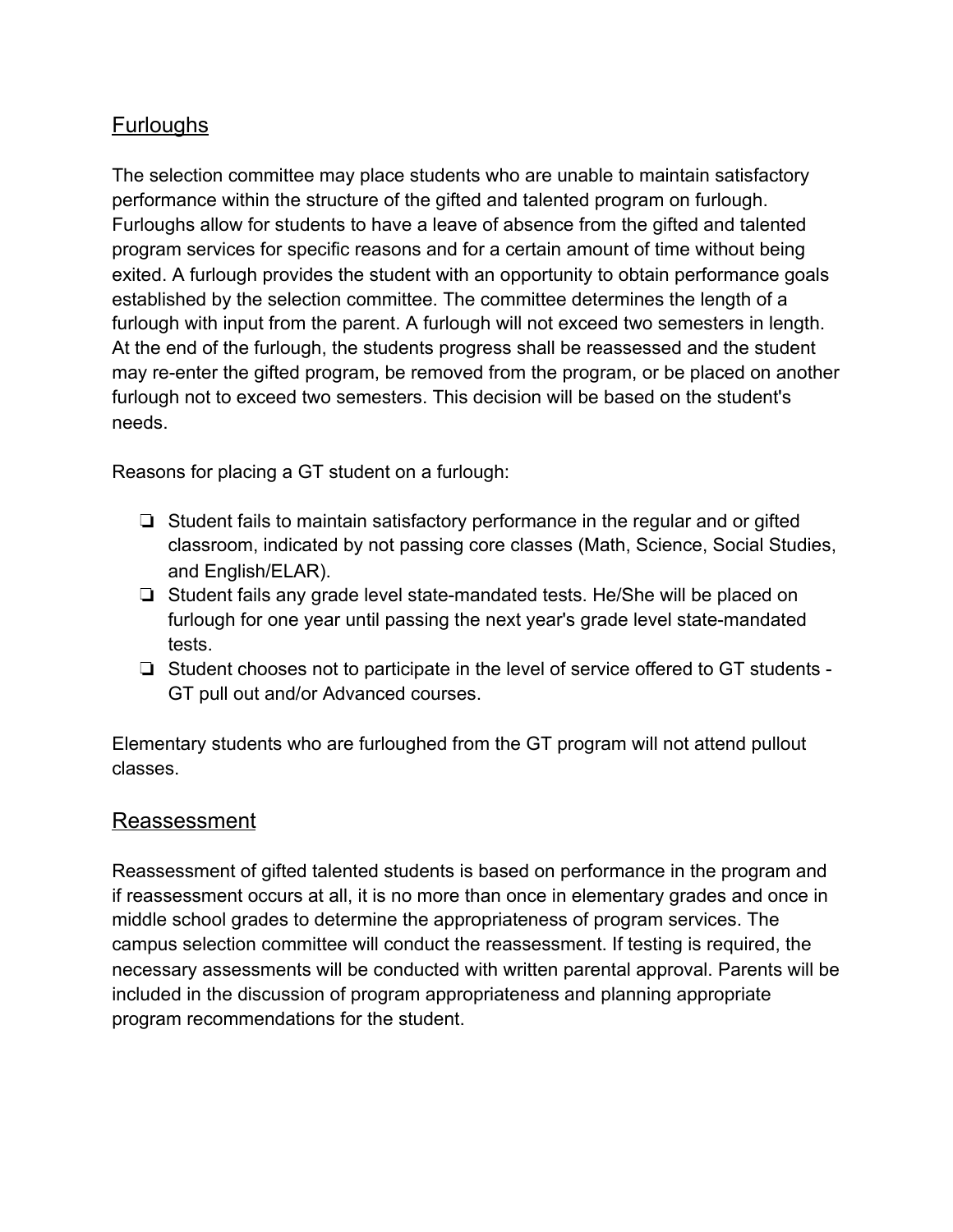## **Furloughs**

The selection committee may place students who are unable to maintain satisfactory performance within the structure of the gifted and talented program on furlough. Furloughs allow for students to have a leave of absence from the gifted and talented program services for specific reasons and for a certain amount of time without being exited. A furlough provides the student with an opportunity to obtain performance goals established by the selection committee. The committee determines the length of a furlough with input from the parent. A furlough will not exceed two semesters in length. At the end of the furlough, the students progress shall be reassessed and the student may re-enter the gifted program, be removed from the program, or be placed on another furlough not to exceed two semesters. This decision will be based on the student's needs.

Reasons for placing a GT student on a furlough:

- ❏ Student fails to maintain satisfactory performance in the regular and or gifted classroom, indicated by not passing core classes (Math, Science, Social Studies, and English/ELAR).
- ❏ Student fails any grade level state-mandated tests. He/She will be placed on furlough for one year until passing the next year's grade level state-mandated tests.
- ❏ Student chooses not to participate in the level of service offered to GT students GT pull out and/or Advanced courses.

Elementary students who are furloughed from the GT program will not attend pullout classes.

### Reassessment

Reassessment of gifted talented students is based on performance in the program and if reassessment occurs at all, it is no more than once in elementary grades and once in middle school grades to determine the appropriateness of program services. The campus selection committee will conduct the reassessment. If testing is required, the necessary assessments will be conducted with written parental approval. Parents will be included in the discussion of program appropriateness and planning appropriate program recommendations for the student.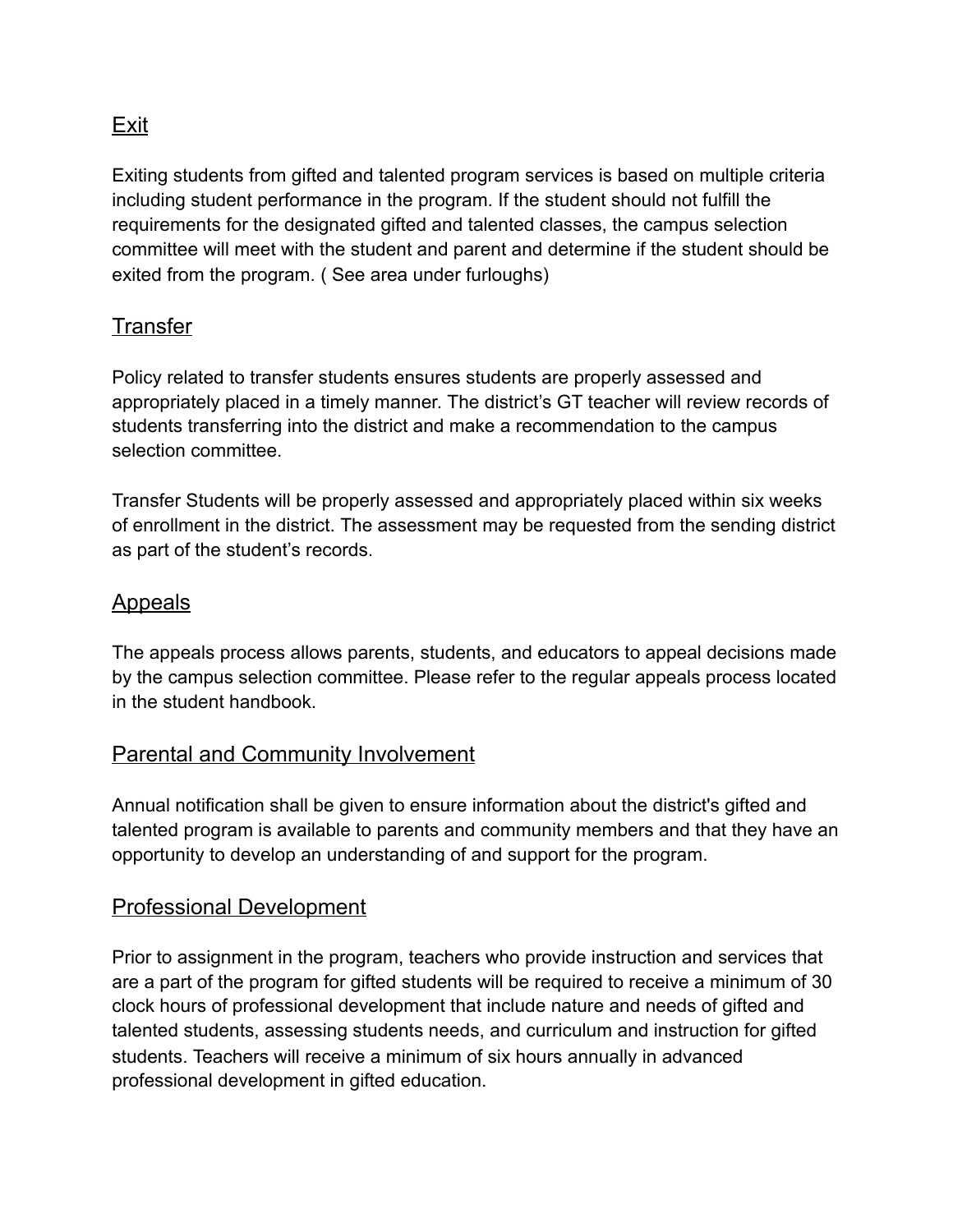## Exit

Exiting students from gifted and talented program services is based on multiple criteria including student performance in the program. If the student should not fulfill the requirements for the designated gifted and talented classes, the campus selection committee will meet with the student and parent and determine if the student should be exited from the program. ( See area under furloughs)

## **Transfer**

Policy related to transfer students ensures students are properly assessed and appropriately placed in a timely manner. The district's GT teacher will review records of students transferring into the district and make a recommendation to the campus selection committee.

Transfer Students will be properly assessed and appropriately placed within six weeks of enrollment in the district. The assessment may be requested from the sending district as part of the student's records.

## Appeals

The appeals process allows parents, students, and educators to appeal decisions made by the campus selection committee. Please refer to the regular appeals process located in the student handbook.

## Parental and Community Involvement

Annual notification shall be given to ensure information about the district's gifted and talented program is available to parents and community members and that they have an opportunity to develop an understanding of and support for the program.

### Professional Development

Prior to assignment in the program, teachers who provide instruction and services that are a part of the program for gifted students will be required to receive a minimum of 30 clock hours of professional development that include nature and needs of gifted and talented students, assessing students needs, and curriculum and instruction for gifted students. Teachers will receive a minimum of six hours annually in advanced professional development in gifted education.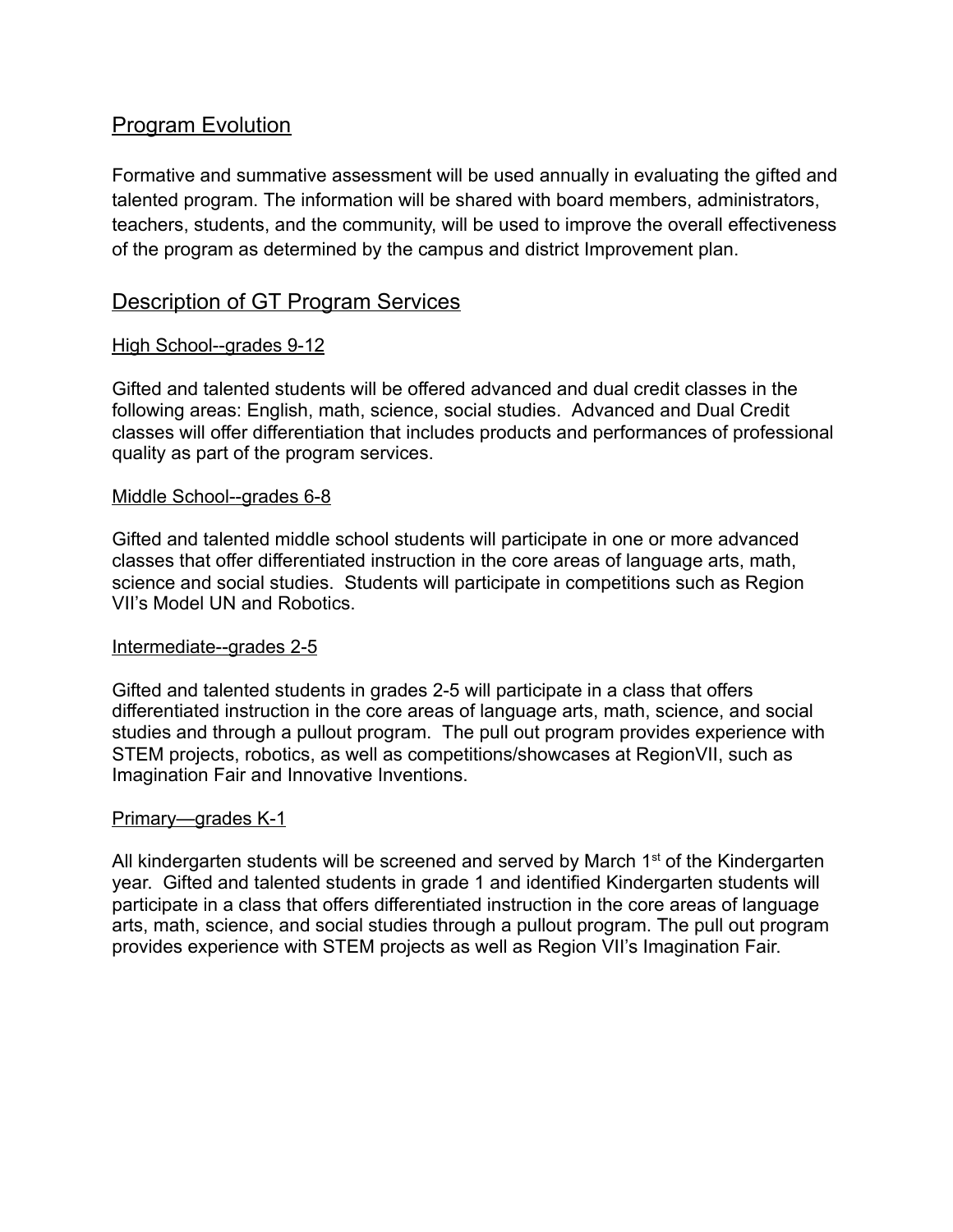## Program Evolution

Formative and summative assessment will be used annually in evaluating the gifted and talented program. The information will be shared with board members, administrators, teachers, students, and the community, will be used to improve the overall effectiveness of the program as determined by the campus and district Improvement plan.

## Description of GT Program Services

#### High School--grades 9-12

Gifted and talented students will be offered advanced and dual credit classes in the following areas: English, math, science, social studies. Advanced and Dual Credit classes will offer differentiation that includes products and performances of professional quality as part of the program services.

#### Middle School--grades 6-8

Gifted and talented middle school students will participate in one or more advanced classes that offer differentiated instruction in the core areas of language arts, math, science and social studies. Students will participate in competitions such as Region VII's Model UN and Robotics.

#### Intermediate--grades 2-5

Gifted and talented students in grades 2-5 will participate in a class that offers differentiated instruction in the core areas of language arts, math, science, and social studies and through a pullout program. The pull out program provides experience with STEM projects, robotics, as well as competitions/showcases at RegionVII, such as Imagination Fair and Innovative Inventions.

#### Primary—grades K-1

All kindergarten students will be screened and served by March 1<sup>st</sup> of the Kindergarten year. Gifted and talented students in grade 1 and identified Kindergarten students will participate in a class that offers differentiated instruction in the core areas of language arts, math, science, and social studies through a pullout program. The pull out program provides experience with STEM projects as well as Region VII's Imagination Fair.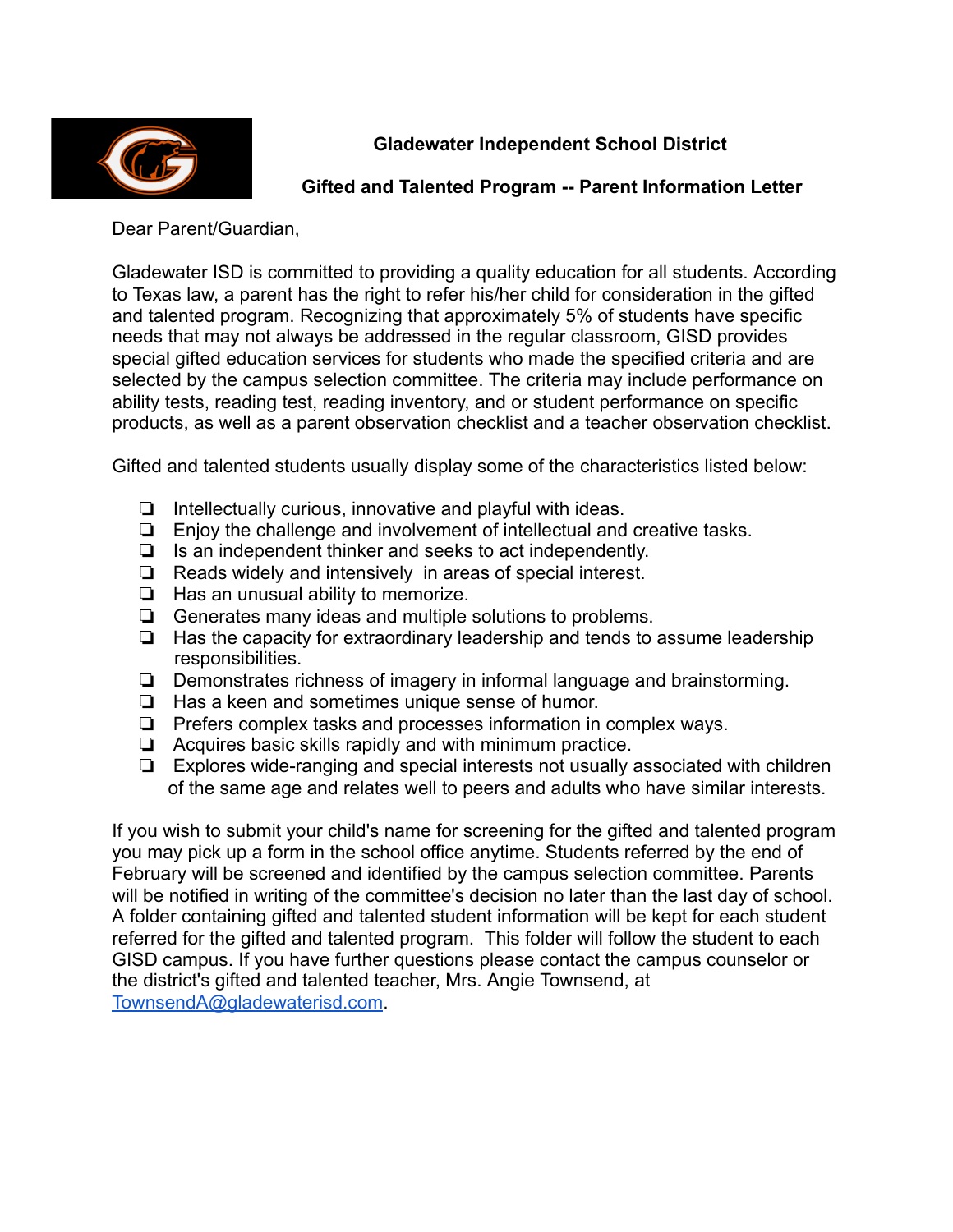

### **Gladewater Independent School District**

#### **Gifted and Talented Program -- Parent Information Letter**

Dear Parent/Guardian,

Gladewater ISD is committed to providing a quality education for all students. According to Texas law, a parent has the right to refer his/her child for consideration in the gifted and talented program. Recognizing that approximately 5% of students have specific needs that may not always be addressed in the regular classroom, GISD provides special gifted education services for students who made the specified criteria and are selected by the campus selection committee. The criteria may include performance on ability tests, reading test, reading inventory, and or student performance on specific products, as well as a parent observation checklist and a teacher observation checklist.

Gifted and talented students usually display some of the characteristics listed below:

- ❏ Intellectually curious, innovative and playful with ideas.
- ❏ Enjoy the challenge and involvement of intellectual and creative tasks.
- ❏ Is an independent thinker and seeks to act independently.
- ❏ Reads widely and intensively in areas of special interest.
- ❏ Has an unusual ability to memorize.
- ❏ Generates many ideas and multiple solutions to problems.
- ❏ Has the capacity for extraordinary leadership and tends to assume leadership responsibilities.
- ❏ Demonstrates richness of imagery in informal language and brainstorming.
- ❏ Has a keen and sometimes unique sense of humor.
- ❏ Prefers complex tasks and processes information in complex ways.
- ❏ Acquires basic skills rapidly and with minimum practice.
- ❏ Explores wide-ranging and special interests not usually associated with children of the same age and relates well to peers and adults who have similar interests.

If you wish to submit your child's name for screening for the gifted and talented program you may pick up a form in the school office anytime. Students referred by the end of February will be screened and identified by the campus selection committee. Parents will be notified in writing of the committee's decision no later than the last day of school. A folder containing gifted and talented student information will be kept for each student referred for the gifted and talented program. This folder will follow the student to each GISD campus. If you have further questions please contact the campus counselor or the district's gifted and talented teacher, Mrs. Angie Townsend, at [TownsendA@gladewaterisd.com](mailto:TownsendA@gladewaterisd.com) .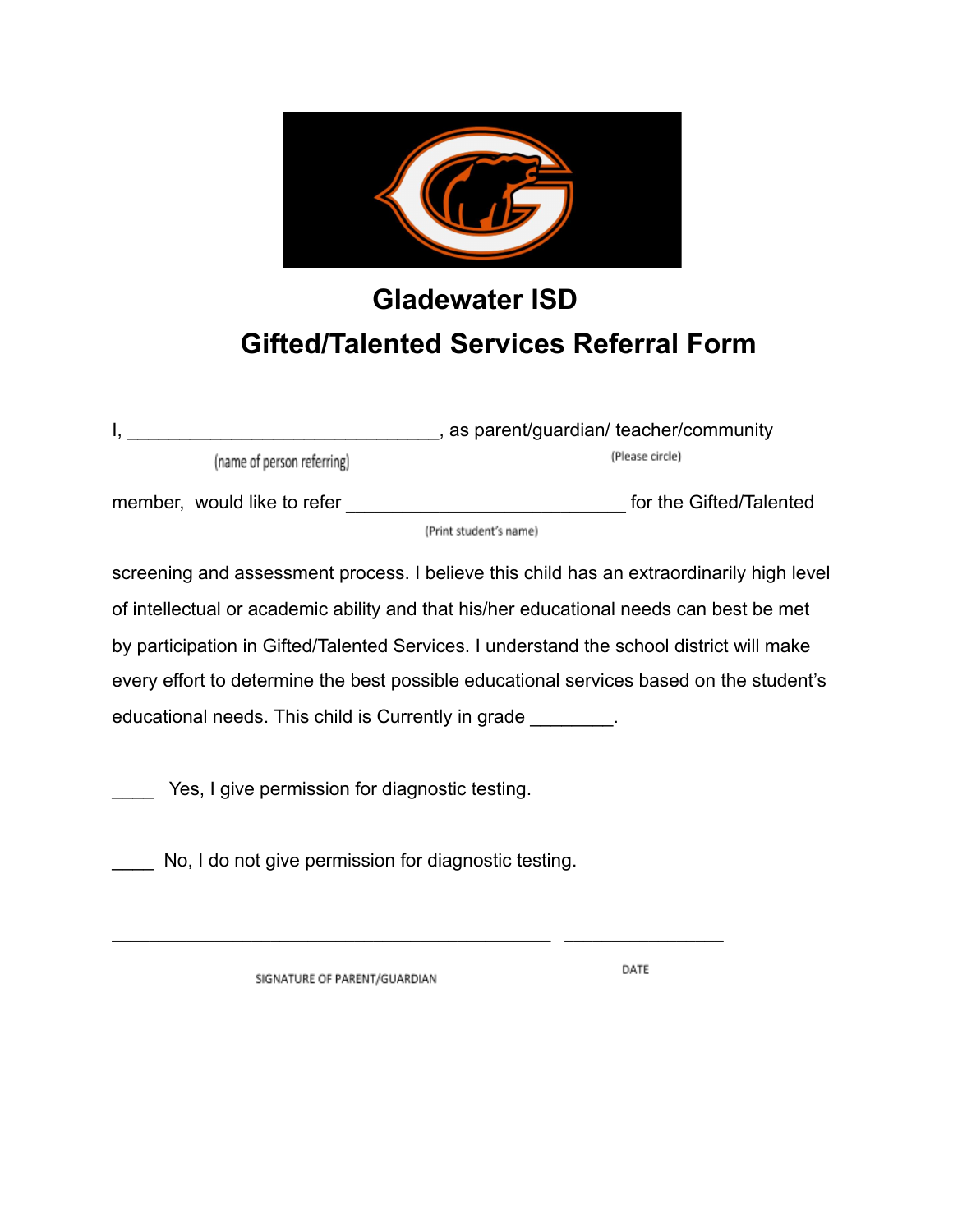

## **Gladewater ISD Gifted/Talented Services Referral Form**

|                             | as parent/guardian/ teacher/community |  |
|-----------------------------|---------------------------------------|--|
| (name of person referring)  | (Please circle)                       |  |
| member, would like to refer | for the Gifted/Talented               |  |
|                             | (Print student's name)                |  |

screening and assessment process. I believe this child has an extraordinarily high level of intellectual or academic ability and that his/her educational needs can best be met by participation in Gifted/Talented Services. I understand the school district will make every effort to determine the best possible educational services based on the student's educational needs. This child is Currently in grade \_\_\_\_\_\_\_\_.

Yes, I give permission for diagnostic testing.

No, I do not give permission for diagnostic testing.

 $\mathcal{L}_\text{max}$  , and the contribution of the contribution of the contribution of the contribution of the contribution of the contribution of the contribution of the contribution of the contribution of the contribution of t

SIGNATURE OF PARENT/GUARDIAN

DATE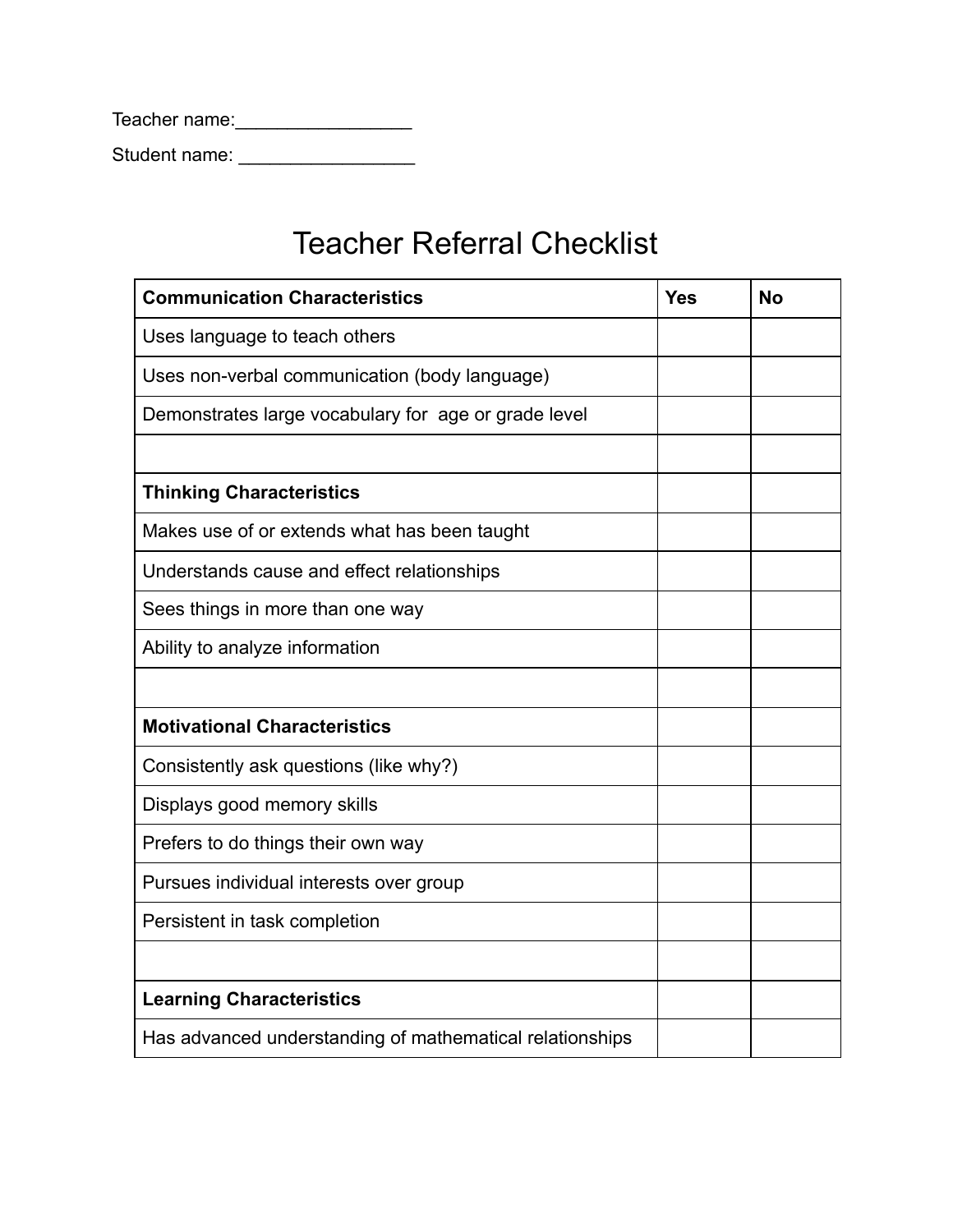| Teacher name: |  |
|---------------|--|
| Student name: |  |

## Teacher Referral Checklist

| <b>Communication Characteristics</b>                     | <b>Yes</b> | <b>No</b> |
|----------------------------------------------------------|------------|-----------|
| Uses language to teach others                            |            |           |
| Uses non-verbal communication (body language)            |            |           |
| Demonstrates large vocabulary for age or grade level     |            |           |
|                                                          |            |           |
| <b>Thinking Characteristics</b>                          |            |           |
| Makes use of or extends what has been taught             |            |           |
| Understands cause and effect relationships               |            |           |
| Sees things in more than one way                         |            |           |
| Ability to analyze information                           |            |           |
|                                                          |            |           |
| <b>Motivational Characteristics</b>                      |            |           |
| Consistently ask questions (like why?)                   |            |           |
| Displays good memory skills                              |            |           |
| Prefers to do things their own way                       |            |           |
| Pursues individual interests over group                  |            |           |
| Persistent in task completion                            |            |           |
|                                                          |            |           |
| <b>Learning Characteristics</b>                          |            |           |
| Has advanced understanding of mathematical relationships |            |           |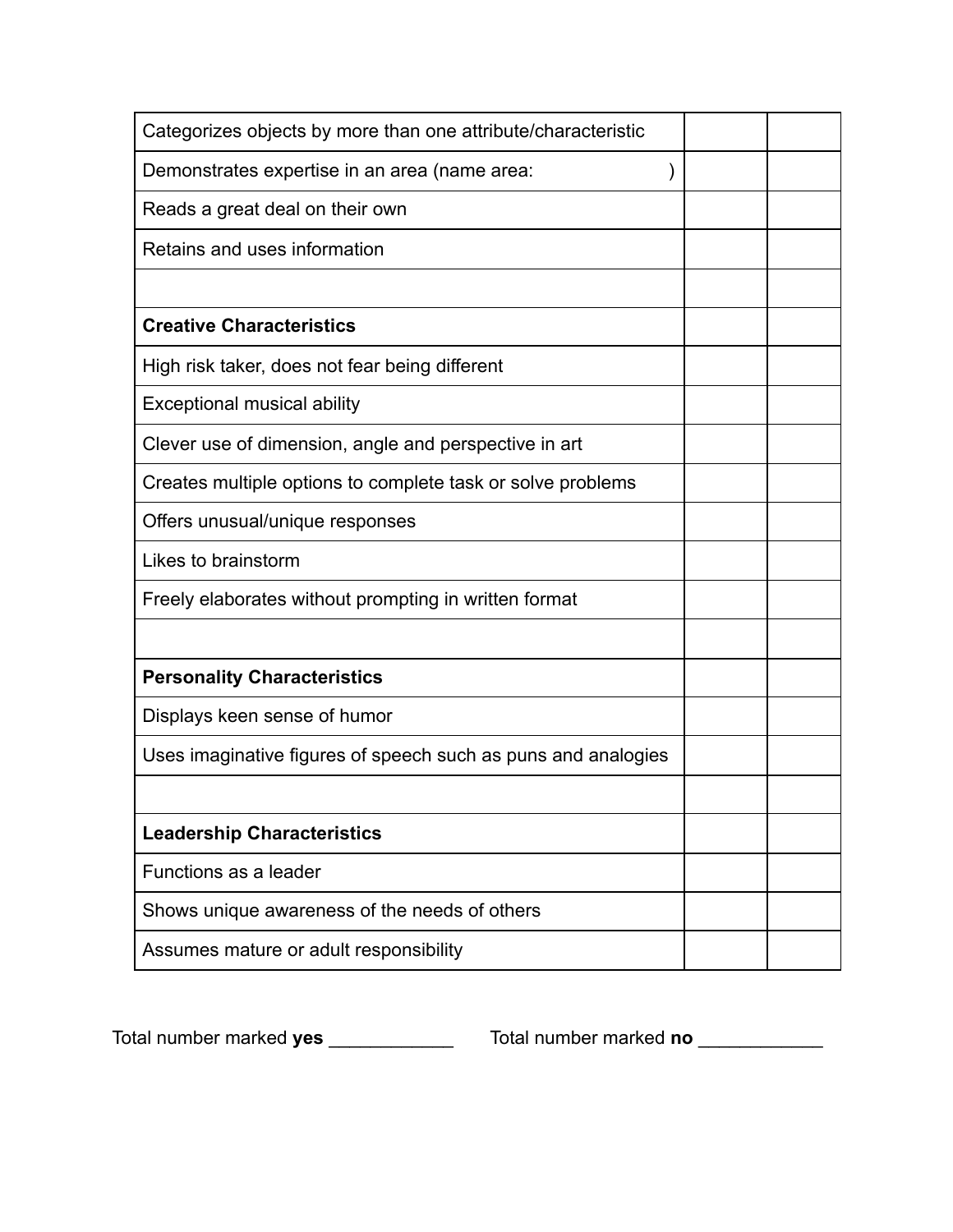| Categorizes objects by more than one attribute/characteristic |  |
|---------------------------------------------------------------|--|
| Demonstrates expertise in an area (name area:                 |  |
| Reads a great deal on their own                               |  |
| Retains and uses information                                  |  |
|                                                               |  |
| <b>Creative Characteristics</b>                               |  |
| High risk taker, does not fear being different                |  |
| <b>Exceptional musical ability</b>                            |  |
| Clever use of dimension, angle and perspective in art         |  |
| Creates multiple options to complete task or solve problems   |  |
| Offers unusual/unique responses                               |  |
| Likes to brainstorm                                           |  |
| Freely elaborates without prompting in written format         |  |
|                                                               |  |
| <b>Personality Characteristics</b>                            |  |
| Displays keen sense of humor                                  |  |
| Uses imaginative figures of speech such as puns and analogies |  |
|                                                               |  |
| <b>Leadership Characteristics</b>                             |  |
| Functions as a leader                                         |  |
| Shows unique awareness of the needs of others                 |  |
|                                                               |  |

Total number marked **yes** \_\_\_\_\_\_\_\_\_\_\_\_ Total number marked **no** \_\_\_\_\_\_\_\_\_\_\_\_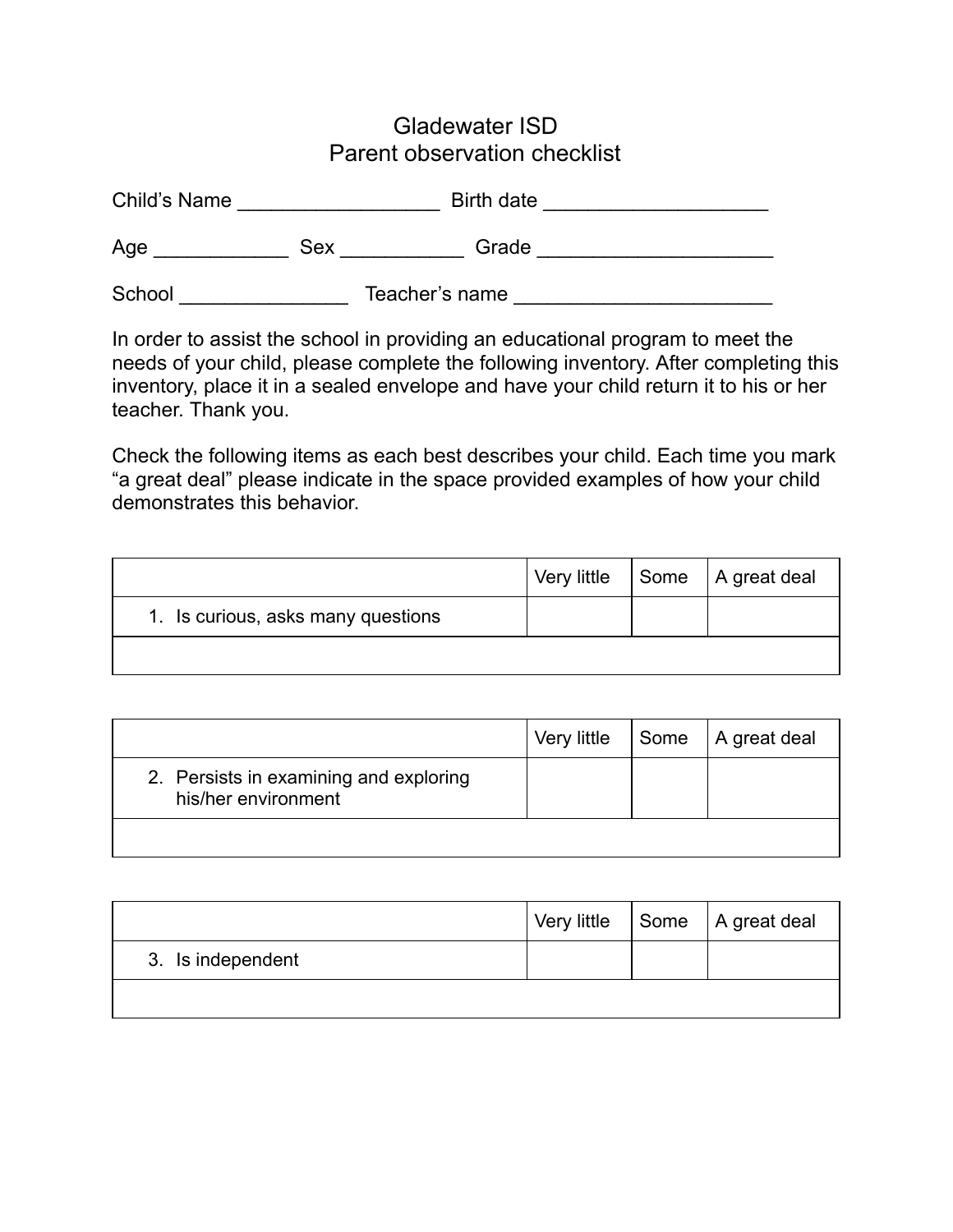## Gladewater ISD Parent observation checklist

| Child's Name |            | Birth date     |  |
|--------------|------------|----------------|--|
| Age          | <b>Sex</b> | Grade          |  |
| School       |            | Teacher's name |  |

In order to assist the school in providing an educational program to meet the needs of your child, please complete the following inventory. After completing this inventory, place it in a sealed envelope and have your child return it to his or her teacher. Thank you.

Check the following items as each best describes your child. Each time you mark "a great deal" please indicate in the space provided examples of how your child demonstrates this behavior.

|                                    | Very little | Some   A great deal |
|------------------------------------|-------------|---------------------|
| 1. Is curious, asks many questions |             |                     |
|                                    |             |                     |

|                                                               | Very little | Some   A great deal |
|---------------------------------------------------------------|-------------|---------------------|
| 2. Persists in examining and exploring<br>his/her environment |             |                     |
|                                                               |             |                     |

|                   |  | Very little   Some   A great deal |
|-------------------|--|-----------------------------------|
| 3. Is independent |  |                                   |
|                   |  |                                   |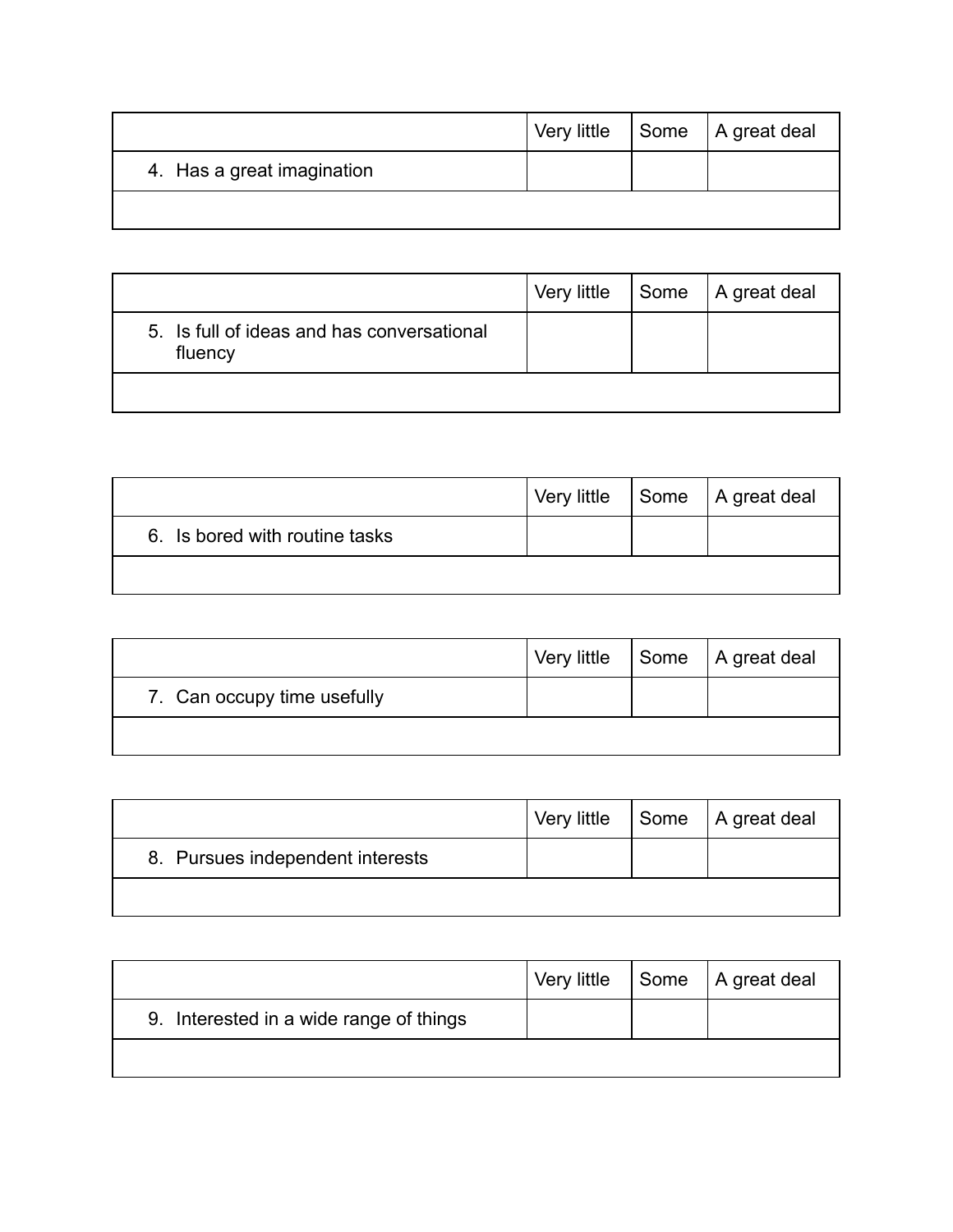|                            | Very little | Some   A great deal |
|----------------------------|-------------|---------------------|
| 4. Has a great imagination |             |                     |
|                            |             |                     |

|                                                       | Very little | Some   A great deal |
|-------------------------------------------------------|-------------|---------------------|
| 5. Is full of ideas and has conversational<br>fluency |             |                     |
|                                                       |             |                     |

|                                |  | Very little   Some   A great deal |
|--------------------------------|--|-----------------------------------|
| 6. Is bored with routine tasks |  |                                   |
|                                |  |                                   |

|                             |  | Very little   Some   A great deal |
|-----------------------------|--|-----------------------------------|
| 7. Can occupy time usefully |  |                                   |
|                             |  |                                   |

|                                  | Very little | Some   A great deal |
|----------------------------------|-------------|---------------------|
| 8. Pursues independent interests |             |                     |
|                                  |             |                     |

|                                         | Very little | Some   A great deal |
|-----------------------------------------|-------------|---------------------|
| 9. Interested in a wide range of things |             |                     |
|                                         |             |                     |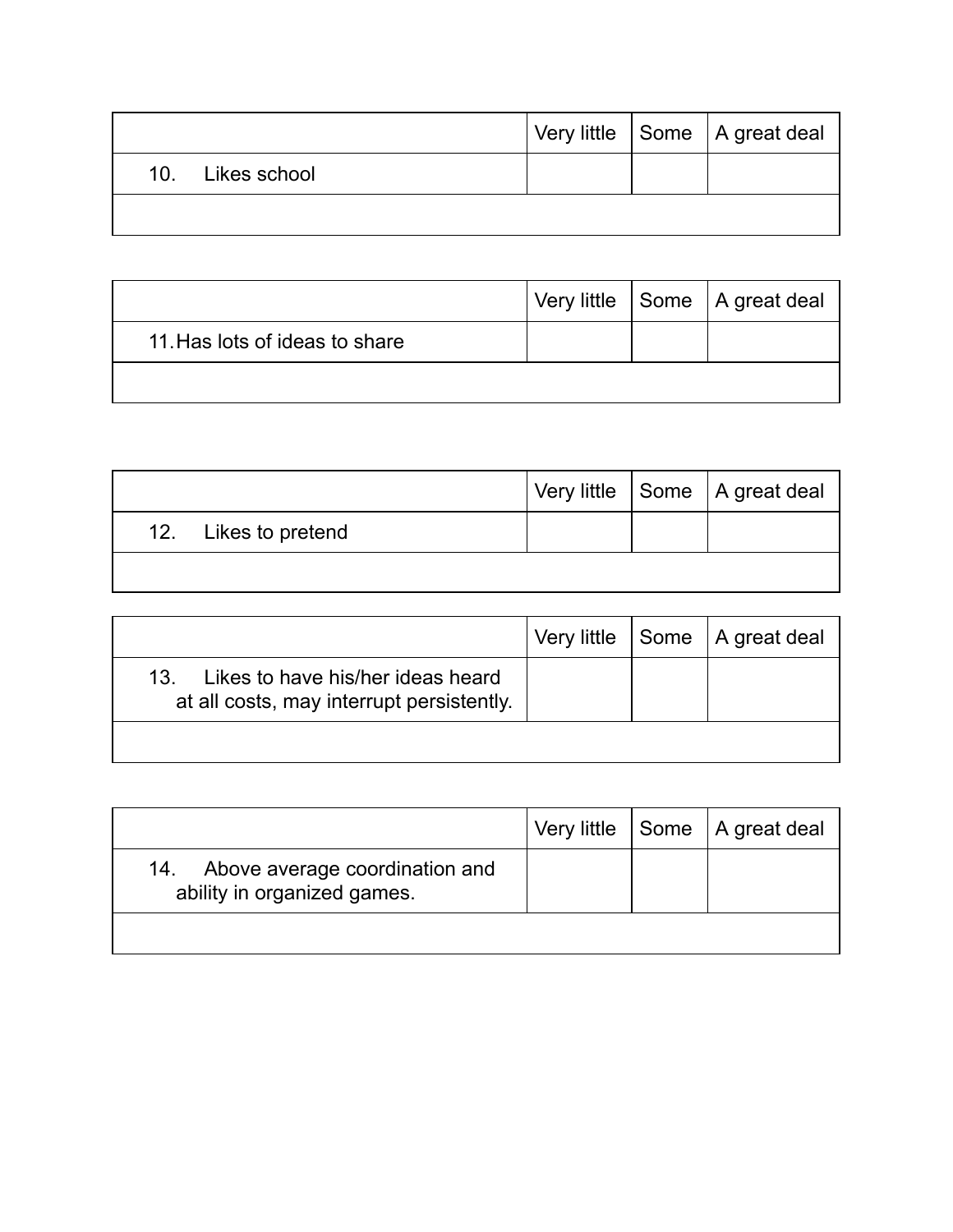|                  |  | Very little Some   A great deal |
|------------------|--|---------------------------------|
| 10. Likes school |  |                                 |
|                  |  |                                 |

|                                |  | Very little Some   A great deal |
|--------------------------------|--|---------------------------------|
| 11. Has lots of ideas to share |  |                                 |
|                                |  |                                 |

|                      |  | Very little Some   A great deal |
|----------------------|--|---------------------------------|
| 12. Likes to pretend |  |                                 |
|                      |  |                                 |

|                                                                                    | Very little | Some   A great deal |
|------------------------------------------------------------------------------------|-------------|---------------------|
| 13. Likes to have his/her ideas heard<br>at all costs, may interrupt persistently. |             |                     |
|                                                                                    |             |                     |

|                                                                   |  | Very little   Some   A great deal |
|-------------------------------------------------------------------|--|-----------------------------------|
| 14. Above average coordination and<br>ability in organized games. |  |                                   |
|                                                                   |  |                                   |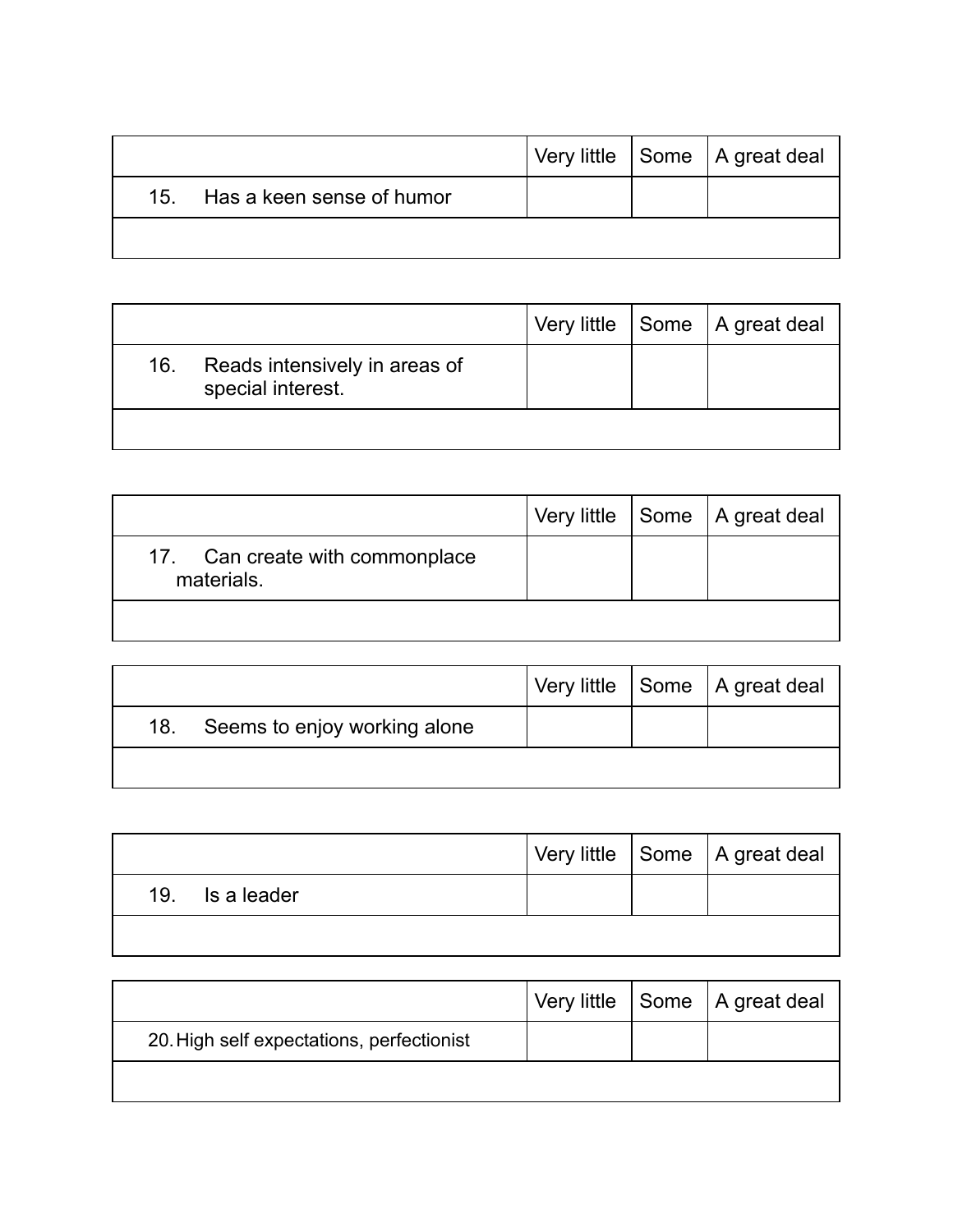|                               |  | Very little Some   A great deal |
|-------------------------------|--|---------------------------------|
| 15. Has a keen sense of humor |  |                                 |
|                               |  |                                 |

|     |                                                    |  | Very little   Some   A great deal |
|-----|----------------------------------------------------|--|-----------------------------------|
| 16. | Reads intensively in areas of<br>special interest. |  |                                   |
|     |                                                    |  |                                   |

|                                               |  | Very little Some   A great deal |
|-----------------------------------------------|--|---------------------------------|
| 17. Can create with commonplace<br>materials. |  |                                 |
|                                               |  |                                 |

|                                     |  | Very little Some   A great deal |
|-------------------------------------|--|---------------------------------|
| Seems to enjoy working alone<br>18. |  |                                 |
|                                     |  |                                 |

|                 |  | Very little Some   A great deal |
|-----------------|--|---------------------------------|
| 19. Is a leader |  |                                 |
|                 |  |                                 |

|                                           |  | Very little Some   A great deal |
|-------------------------------------------|--|---------------------------------|
| 20. High self expectations, perfectionist |  |                                 |
|                                           |  |                                 |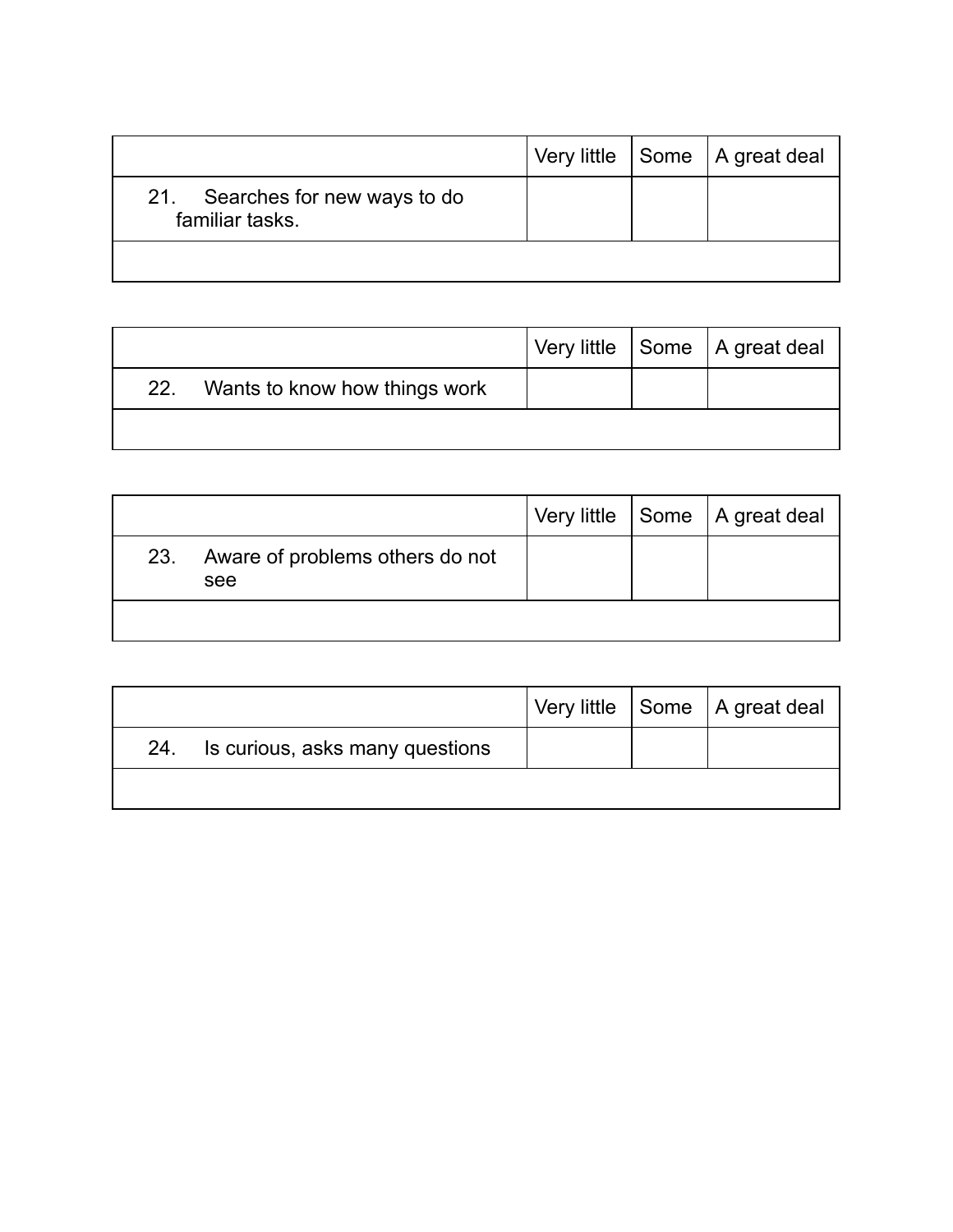|                                                    |  | Very little $ $ Some $ $ A great deal |
|----------------------------------------------------|--|---------------------------------------|
| 21. Searches for new ways to do<br>familiar tasks. |  |                                       |
|                                                    |  |                                       |

|     |                               |  | Very little Some   A great deal |
|-----|-------------------------------|--|---------------------------------|
| 22. | Wants to know how things work |  |                                 |
|     |                               |  |                                 |

|     |                                        |  | Very little   Some   A great deal |
|-----|----------------------------------------|--|-----------------------------------|
| 23. | Aware of problems others do not<br>see |  |                                   |
|     |                                        |  |                                   |

|     |                                 |  | Very little Some A great deal |
|-----|---------------------------------|--|-------------------------------|
| 24. | Is curious, asks many questions |  |                               |
|     |                                 |  |                               |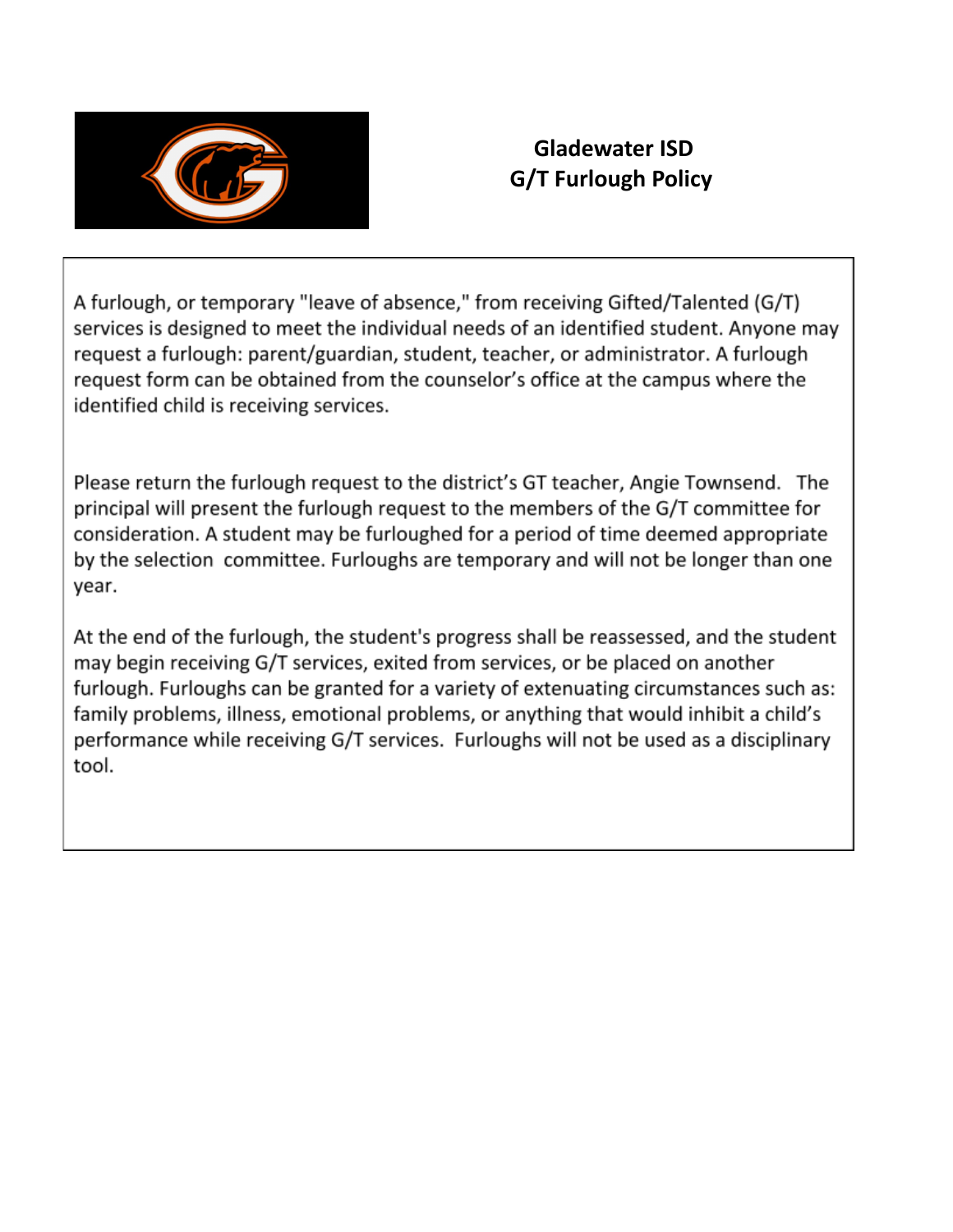

## **Gladewater ISD G/T Furlough Policy**

A furlough, or temporary "leave of absence," from receiving Gifted/Talented (G/T) services is designed to meet the individual needs of an identified student. Anyone may request a furlough: parent/guardian, student, teacher, or administrator. A furlough request form can be obtained from the counselor's office at the campus where the identified child is receiving services.

Please return the furlough request to the district's GT teacher, Angie Townsend. The principal will present the furlough request to the members of the G/T committee for consideration. A student may be furloughed for a period of time deemed appropriate by the selection committee. Furloughs are temporary and will not be longer than one year.

At the end of the furlough, the student's progress shall be reassessed, and the student may begin receiving G/T services, exited from services, or be placed on another furlough. Furloughs can be granted for a variety of extenuating circumstances such as: family problems, illness, emotional problems, or anything that would inhibit a child's performance while receiving G/T services. Furloughs will not be used as a disciplinary tool.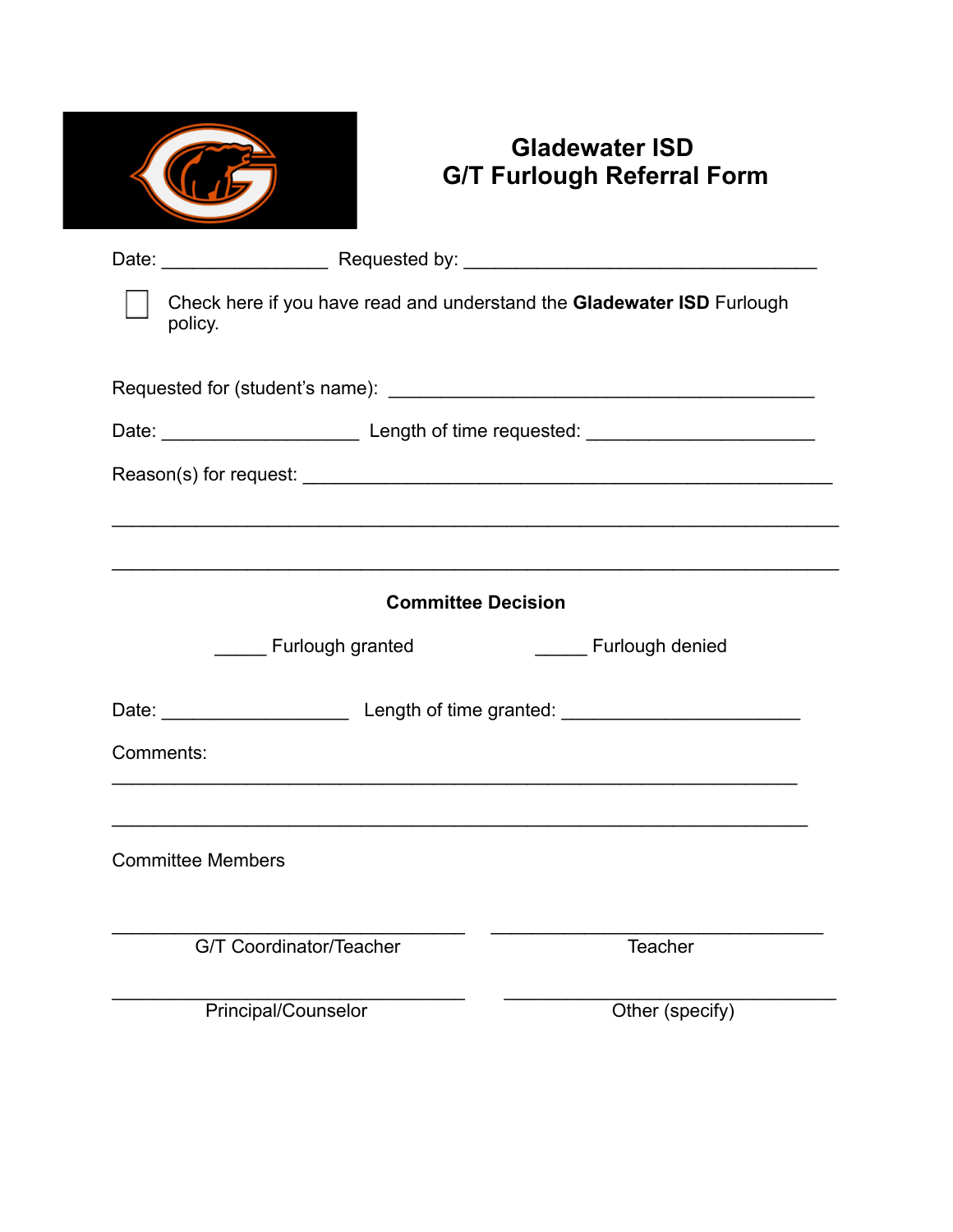## **Gladewater ISD G/T Furlough Referral Form**

|           | Check here if you have read and understand the Gladewater ISD Furlough<br>policy. |                                                                                  |  |  |  |  |  |  |
|-----------|-----------------------------------------------------------------------------------|----------------------------------------------------------------------------------|--|--|--|--|--|--|
|           |                                                                                   |                                                                                  |  |  |  |  |  |  |
|           |                                                                                   |                                                                                  |  |  |  |  |  |  |
|           |                                                                                   |                                                                                  |  |  |  |  |  |  |
|           |                                                                                   | ,我们也不会有什么。""我们的人,我们也不会有什么?""我们的人,我们也不会有什么?""我们的人,我们也不会有什么?""我们的人,我们也不会有什么?""我们的人 |  |  |  |  |  |  |
|           |                                                                                   |                                                                                  |  |  |  |  |  |  |
|           | <b>Committee Decision</b>                                                         |                                                                                  |  |  |  |  |  |  |
|           | <b>Furlough granted</b>                                                           | Furlough denied                                                                  |  |  |  |  |  |  |
|           |                                                                                   |                                                                                  |  |  |  |  |  |  |
| Comments: |                                                                                   |                                                                                  |  |  |  |  |  |  |
|           |                                                                                   |                                                                                  |  |  |  |  |  |  |
|           | <b>Committee Members</b>                                                          |                                                                                  |  |  |  |  |  |  |
|           | G/T Coordinator/Teacher                                                           | Teacher                                                                          |  |  |  |  |  |  |
|           | Principal/Counselor                                                               | Other (specify)                                                                  |  |  |  |  |  |  |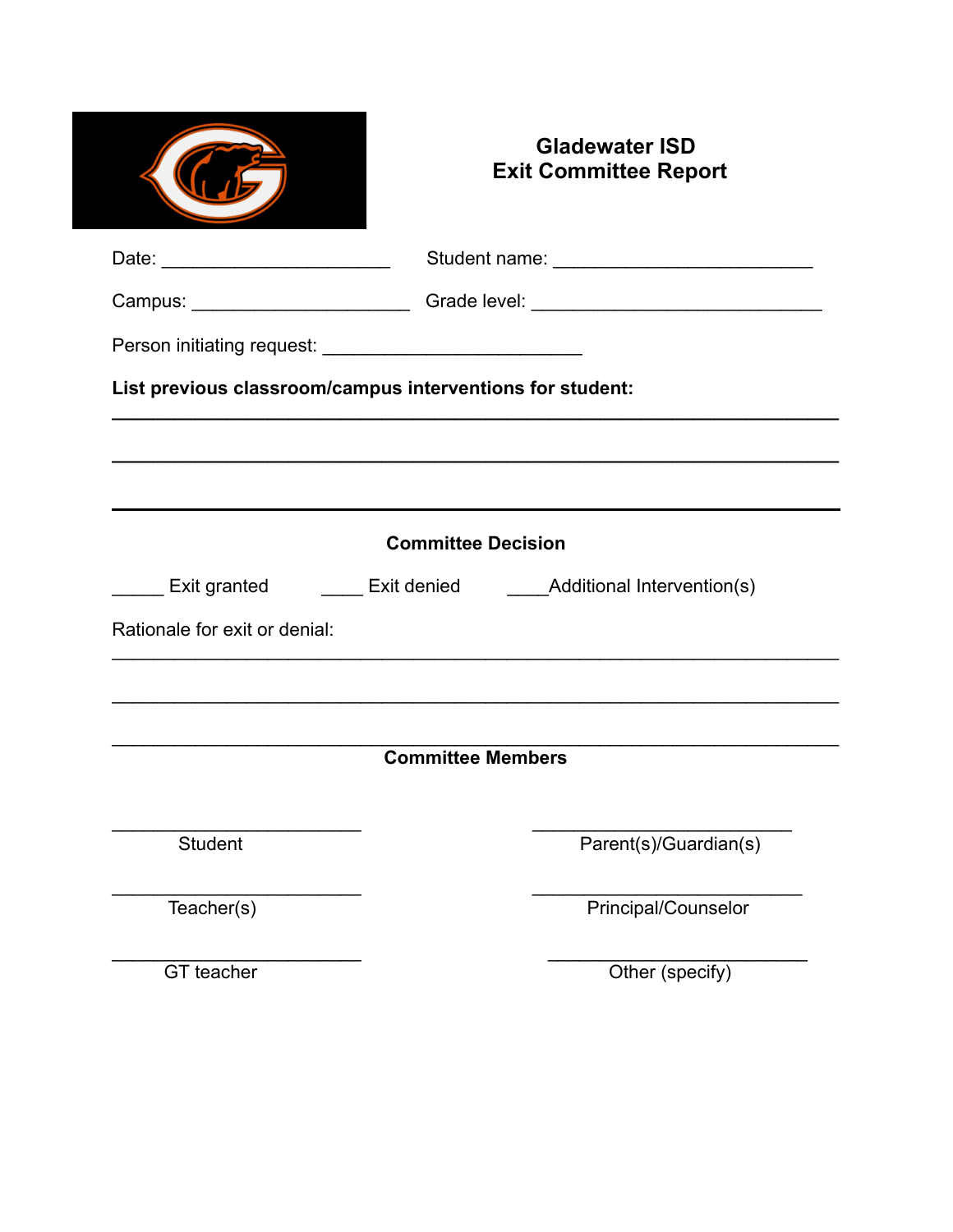|                                    | <b>Gladewater ISD</b><br><b>Exit Committee Report</b>                            |  |  |  |  |
|------------------------------------|----------------------------------------------------------------------------------|--|--|--|--|
| Date: ____________________________ |                                                                                  |  |  |  |  |
|                                    | Campus: ____________________________Grade level: _______________________________ |  |  |  |  |
|                                    |                                                                                  |  |  |  |  |
|                                    | List previous classroom/campus interventions for student:                        |  |  |  |  |
|                                    |                                                                                  |  |  |  |  |
|                                    |                                                                                  |  |  |  |  |
|                                    | <b>Committee Decision</b>                                                        |  |  |  |  |
|                                    | Exit granted ________ Exit denied ______________Additional Intervention(s)       |  |  |  |  |
| Rationale for exit or denial:      |                                                                                  |  |  |  |  |
|                                    |                                                                                  |  |  |  |  |
|                                    |                                                                                  |  |  |  |  |
|                                    | <b>Committee Members</b>                                                         |  |  |  |  |
|                                    |                                                                                  |  |  |  |  |
|                                    |                                                                                  |  |  |  |  |
| <b>Student</b>                     | Parent(s)/Guardian(s)                                                            |  |  |  |  |
|                                    |                                                                                  |  |  |  |  |
| Teacher(s)                         | Principal/Counselor                                                              |  |  |  |  |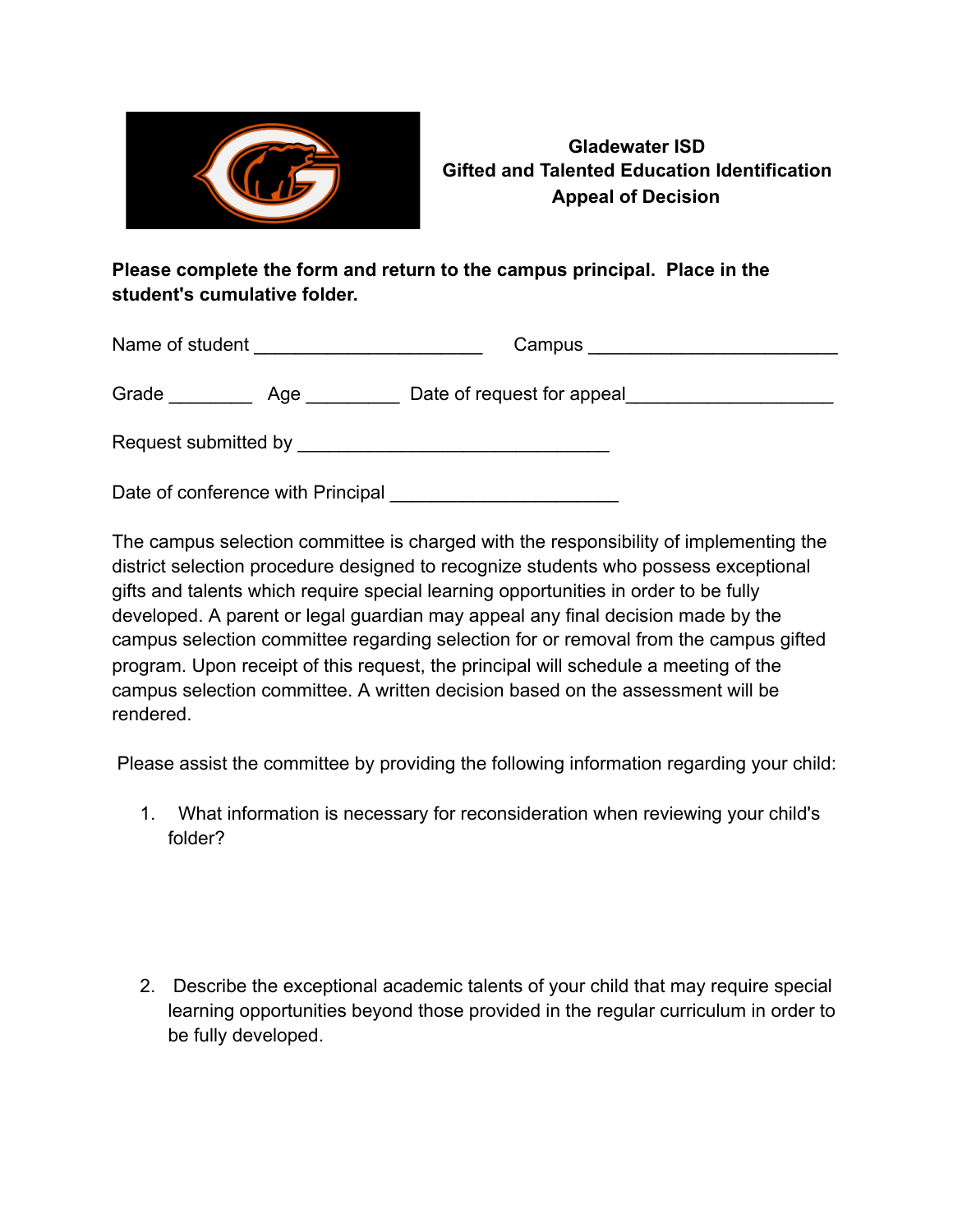

### **Gladewater ISD Gifted and Talented Education Identification Appeal of Decision**

### **Please complete the form and return to the campus principal. Place in the student's cumulative folder.**

| Name of student      |     | Campus                     |  |
|----------------------|-----|----------------------------|--|
| Grade                | Age | Date of request for appeal |  |
| Request submitted by |     |                            |  |

Date of conference with Principal **Example 20** 

The campus selection committee is charged with the responsibility of implementing the district selection procedure designed to recognize students who possess exceptional gifts and talents which require special learning opportunities in order to be fully developed. A parent or legal guardian may appeal any final decision made by the campus selection committee regarding selection for or removal from the campus gifted program. Upon receipt of this request, the principal will schedule a meeting of the campus selection committee. A written decision based on the assessment will be rendered.

Please assist the committee by providing the following information regarding your child:

1. What information is necessary for reconsideration when reviewing your child's folder?

2. Describe the exceptional academic talents of your child that may require special learning opportunities beyond those provided in the regular curriculum in order to be fully developed.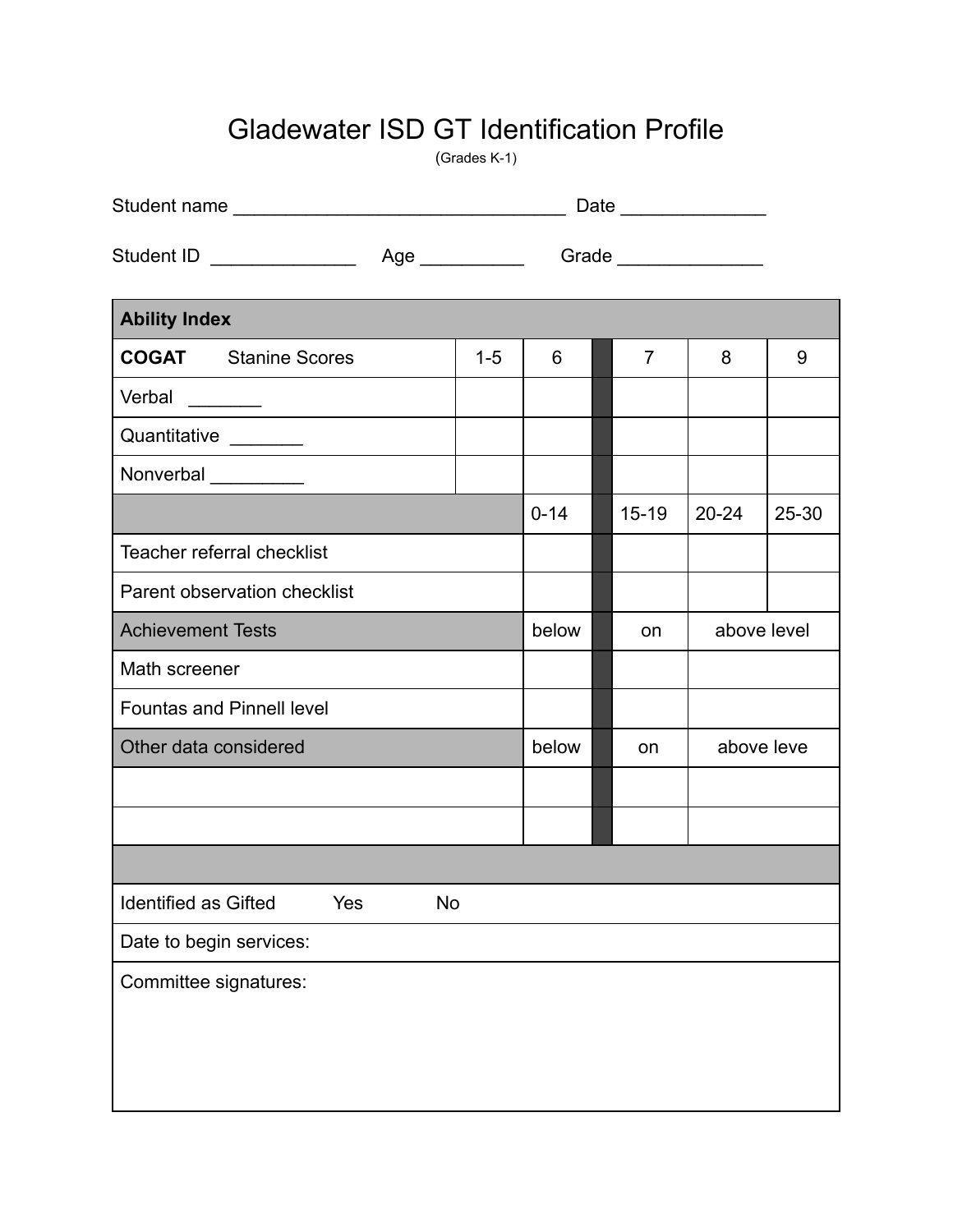## Gladewater ISD GT Identification Profile

(Grades K-1)

|                                                                       |           | Grade _______________ |          |  |                |             |       |  |
|-----------------------------------------------------------------------|-----------|-----------------------|----------|--|----------------|-------------|-------|--|
| <b>Ability Index</b>                                                  |           |                       |          |  |                |             |       |  |
| <b>COGAT</b> Stanine Scores                                           |           | $1 - 5$               | 6        |  | $\overline{7}$ | 8           | 9     |  |
| Verbal<br>$\frac{1}{1}$<br>e de la construcción de la construcción de |           |                       |          |  |                |             |       |  |
| Quantitative _______                                                  |           |                       |          |  |                |             |       |  |
| Nonverbal _________                                                   |           |                       |          |  |                |             |       |  |
|                                                                       |           |                       | $0 - 14$ |  | $15 - 19$      | $20 - 24$   | 25-30 |  |
| <b>Teacher referral checklist</b>                                     |           |                       |          |  |                |             |       |  |
| Parent observation checklist                                          |           |                       |          |  |                |             |       |  |
| <b>Achievement Tests</b>                                              |           |                       | below    |  | on             | above level |       |  |
| Math screener                                                         |           |                       |          |  |                |             |       |  |
| <b>Fountas and Pinnell level</b>                                      |           |                       |          |  |                |             |       |  |
| Other data considered                                                 |           | below<br>on           |          |  | above leve     |             |       |  |
|                                                                       |           |                       |          |  |                |             |       |  |
|                                                                       |           |                       |          |  |                |             |       |  |
|                                                                       |           |                       |          |  |                |             |       |  |
| Identified as Gifted                                                  | Yes<br>No |                       |          |  |                |             |       |  |
| Date to begin services:                                               |           |                       |          |  |                |             |       |  |
| Committee signatures:                                                 |           |                       |          |  |                |             |       |  |
|                                                                       |           |                       |          |  |                |             |       |  |
|                                                                       |           |                       |          |  |                |             |       |  |
|                                                                       |           |                       |          |  |                |             |       |  |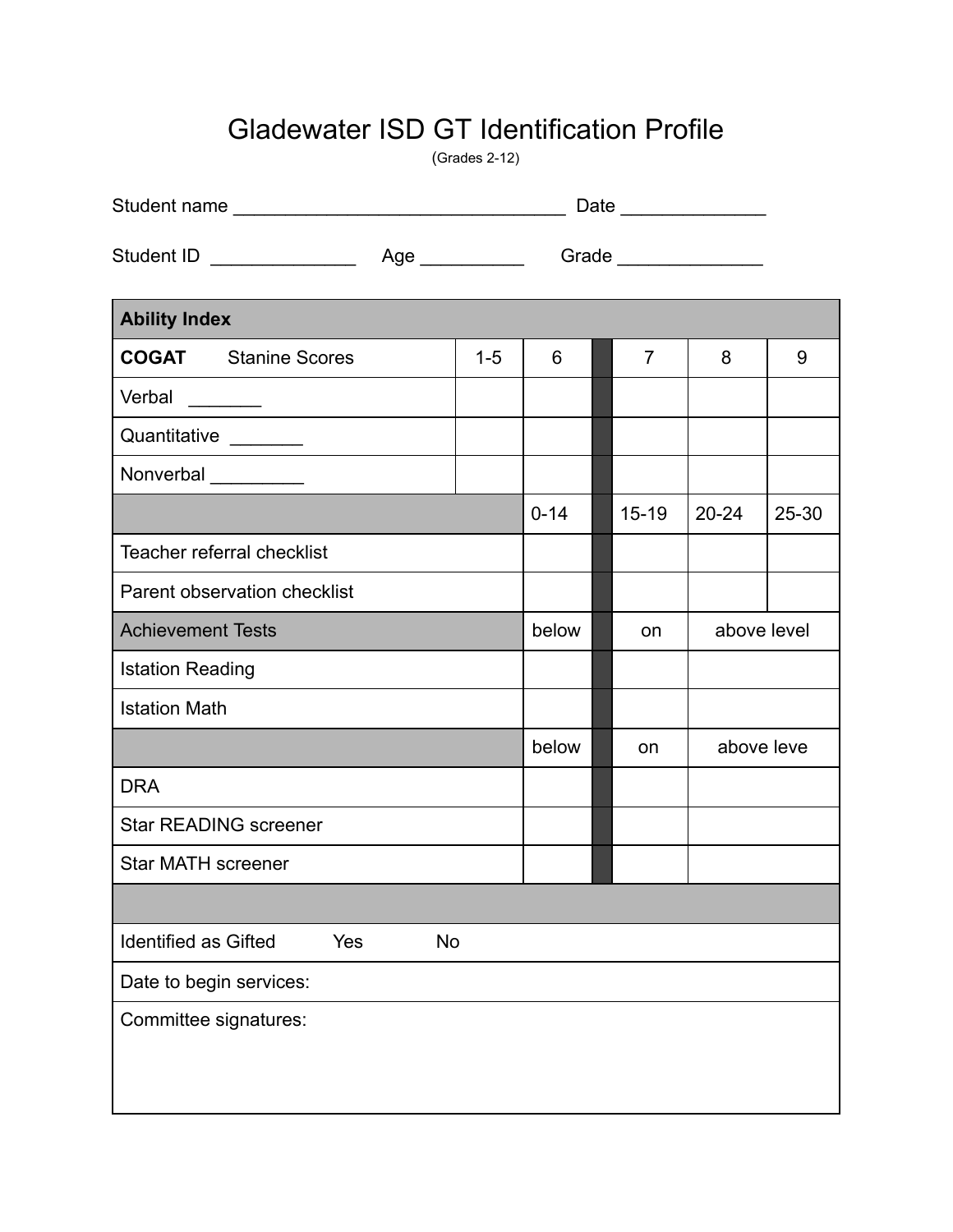## Gladewater ISD GT Identification Profile

(Grades 2-12)

|                                                                       |                  |         |                       | Date |                |             |       |  |
|-----------------------------------------------------------------------|------------------|---------|-----------------------|------|----------------|-------------|-------|--|
| Student ID _______________<br>Age ___________                         |                  |         | Grade _______________ |      |                |             |       |  |
| <b>Ability Index</b>                                                  |                  |         |                       |      |                |             |       |  |
| <b>COGAT</b> Stanine Scores                                           |                  | $1 - 5$ | 6                     |      | $\overline{7}$ | 8           | 9     |  |
| Verbal<br>$\frac{1}{1}$<br>e de la construcción de la construcción de |                  |         |                       |      |                |             |       |  |
| Quantitative _______                                                  |                  |         |                       |      |                |             |       |  |
| Nonverbal __________                                                  |                  |         |                       |      |                |             |       |  |
|                                                                       |                  |         | $0 - 14$              |      | $15 - 19$      | $20 - 24$   | 25-30 |  |
| Teacher referral checklist                                            |                  |         |                       |      |                |             |       |  |
| Parent observation checklist                                          |                  |         |                       |      |                |             |       |  |
| <b>Achievement Tests</b>                                              |                  |         | below                 |      | on             | above level |       |  |
| <b>Istation Reading</b>                                               |                  |         |                       |      |                |             |       |  |
| <b>Istation Math</b>                                                  |                  |         |                       |      |                |             |       |  |
|                                                                       |                  |         | below                 |      | on             | above leve  |       |  |
| <b>DRA</b>                                                            |                  |         |                       |      |                |             |       |  |
| <b>Star READING screener</b>                                          |                  |         |                       |      |                |             |       |  |
| <b>Star MATH screener</b>                                             |                  |         |                       |      |                |             |       |  |
|                                                                       |                  |         |                       |      |                |             |       |  |
| <b>Identified as Gifted</b>                                           | Yes<br><b>No</b> |         |                       |      |                |             |       |  |
| Date to begin services:                                               |                  |         |                       |      |                |             |       |  |
| Committee signatures:                                                 |                  |         |                       |      |                |             |       |  |
|                                                                       |                  |         |                       |      |                |             |       |  |
|                                                                       |                  |         |                       |      |                |             |       |  |